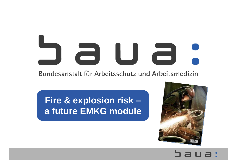## 2 U a Bundesanstalt für Arbeitsschutz und Arbeitsmedizin

# **Fire & explosion risk – a future EMKG module**

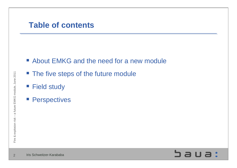### **Table of contents**

- **EXALGE About EMKG and the need for a new module**
- **The five steps of the future module**
- **Field study**
- **Perspectives**

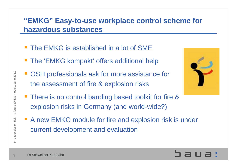### **"EMKG" Easy-to-use workplace control scheme for hazardous substances**

- **The EMKG is established in a lot of SME**
- **The 'EMKG kompakt' offers additional help**
- OSH professionals ask for more assistance for the assessment of fire & explosion risks
- **There is no control banding based toolkit for fire &** explosion risks in Germany (and world-wide?)
- A new EMKG module for fire and explosion risk is under current development and evaluation





Fire & explosion risk – a future EMKG module, June 2011

Fire & explosion risk - a future EMKG module, June 2011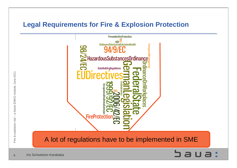### **Legal Requirements for Fire & Explosion Protection**



4

Iris Schweitzer-Karababa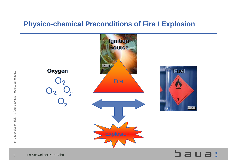### **Physico-chemical Preconditions of Fire / Explosion**



Fire & explosion risk – a future EMKG module, June 2011

Fire & explosion risk - a future EMKG module, June 2011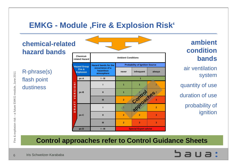## **EMKG - Module , Fire & Explosion Risk'**

### **chemical-related hazard bands**

R-phrase(s) flash point dustiness



**ambient condition bands**

air ventilation system

quantity of use

duration of use

probability of ignition

### **Control approaches refer to Control Guidance Sheets**

Iris Schweitzer-Karababa

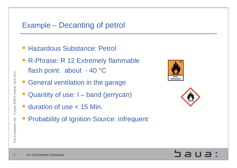### Example – Decanting of petrol

- Hazardous Substance: Petrol
- R-Phrase: R 12 Extremely flammable flash point: about - 40 °C
- **General ventilation in the garage**
- Quantity of use: l – band (jerrycan)
- **duration of use < 15 Min.**
- Probability of Ignition Source: infrequent





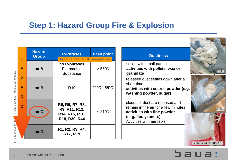### **Step 1: Hazard Group Fire & Explosion**

|                               | Ĥ           | <b>Hazard</b><br><b>Group</b> | <b>R-Phrases</b><br>flash point<br>In future by CLP/GHS-Regulation  |                  |
|-------------------------------|-------------|-------------------------------|---------------------------------------------------------------------|------------------|
|                               | A           | $pc-A$                        | no R-phrases<br>Flammable<br>Substance                              | $>55^{\circ}$ C  |
| future EMKG module, June 2011 | Z<br>A<br>R | $pc-B$                        | <b>R10</b>                                                          | 21°C - 55°C      |
| σ                             | D           | pc-C                          | R5, R6, R7, R8,<br>R9, R11, R12,<br>R14, R15, R16,<br>R18, R30, R44 | $< 21^{\circ}$ C |
| Fire & explosion rie          |             | $pc - D$                      | R1, R2, R3, R4,<br>R <sub>17</sub> , R <sub>19</sub>                |                  |



Saua: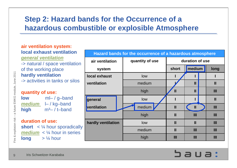### **Step 2: Hazard bands for the Occurrence of a hazardous combustible or explosible Atmosphere**

### **air ventilation system: air ventilation system: local exhaust ventilation local exhaust ventilationgeneral ventilation** *general ventilation* -> natural / space ventilation -> natural / space ventilation of the working place of the working place **hardly ventilation hardly ventilation** -> activities in tanks or silos -> activities in tanks or silos **quantity of use: quantity of use: lowlow**ml– / g–band ml– / g–band

**medium** l– / kg–band *medium* l– / kg–band **high** <sup>m</sup>³– / t–band **high** m³– / t–band

#### **duration of use: duration of use:**

**short** < ¼ hour sporadically **short** < ¼ hour sporadically **medium** < ¼ hour in series *medium* < ¼ hour in series **long** > ¼ hour **long** > ¼ hour

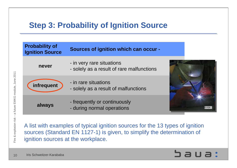# **Step 3: Probability of Ignition Source**

| <b>Probability of</b><br><b>Ignition Source</b> | <b>Sources of ignition which can occur -</b>                           |       |
|-------------------------------------------------|------------------------------------------------------------------------|-------|
| never                                           | - in very rare situations<br>- solely as a result of rare malfunctions |       |
| infrequent                                      | - in rare situations<br>- solely as a result of malfunctions           |       |
| always                                          | - frequently or continuously<br>- during normal operations             | © FOX |

A list with examples of typical ignition sources for the 13 types of ignition sources (Standard EN 1127-1) is given, to simplify the determination of ignition sources at the workplace.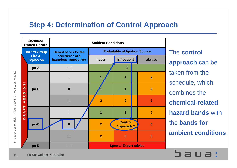### **Step 4: Determination of Control Approach**



**SBUB:** 

11Iris Schweitzer-Karababa

a future EMKG module, June 2011 Fire & explosion risk – a future EMKG module, June 2011 & explosion risk -Fire a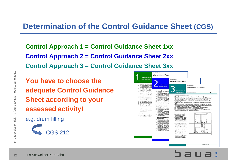### **Determination of the Control Guidance Sheet (CGS)**

**Control Approach 1 = Control Guidance Sheet 1xx Control Approach 2 = Control Guidance Sheet 2xx Control Approach 3 = Control Guidance Sheet 3xx**

**You have to choose the adequate Control Guidance Sheet according to your assessed activity!**

e.g. drum filling



| Maßnahmen der<br>Schutzstufe 1                                                                                                                                                                                                                                                                                                                                                                                                                                                                                                                                                                                                    |                                                                                                                                                                                                                                                                                                                                                                                                                                                                                                                                                                                                                                                                                                                                                                                                                                                                                                                                                                                                                                                                                                                                                                                | Schutzseisten 206<br>Befüllen von Säcken                                                                                                                                                                                                                                                                                                                                                                                                                                                                                                                                                                                                                                                                                                                                                                                                                                                                                         |                                                                                                                                                                                                                                                                                                                                                                                                                                                                                                                                                                                                                                                                                                                                                                                                                                                                                                                                                                                                                                                                                                                                                                                                                                                                             |             |
|-----------------------------------------------------------------------------------------------------------------------------------------------------------------------------------------------------------------------------------------------------------------------------------------------------------------------------------------------------------------------------------------------------------------------------------------------------------------------------------------------------------------------------------------------------------------------------------------------------------------------------------|--------------------------------------------------------------------------------------------------------------------------------------------------------------------------------------------------------------------------------------------------------------------------------------------------------------------------------------------------------------------------------------------------------------------------------------------------------------------------------------------------------------------------------------------------------------------------------------------------------------------------------------------------------------------------------------------------------------------------------------------------------------------------------------------------------------------------------------------------------------------------------------------------------------------------------------------------------------------------------------------------------------------------------------------------------------------------------------------------------------------------------------------------------------------------------|----------------------------------------------------------------------------------------------------------------------------------------------------------------------------------------------------------------------------------------------------------------------------------------------------------------------------------------------------------------------------------------------------------------------------------------------------------------------------------------------------------------------------------------------------------------------------------------------------------------------------------------------------------------------------------------------------------------------------------------------------------------------------------------------------------------------------------------------------------------------------------------------------------------------------------|-----------------------------------------------------------------------------------------------------------------------------------------------------------------------------------------------------------------------------------------------------------------------------------------------------------------------------------------------------------------------------------------------------------------------------------------------------------------------------------------------------------------------------------------------------------------------------------------------------------------------------------------------------------------------------------------------------------------------------------------------------------------------------------------------------------------------------------------------------------------------------------------------------------------------------------------------------------------------------------------------------------------------------------------------------------------------------------------------------------------------------------------------------------------------------------------------------------------------------------------------------------------------------|-------------|
| Gestaltung des Arbeitsverfa<br>Schuffung einer guten allgem<br>natürliche Lüftung durch Türen<br>elektrischen Vertäutor zu- oder                                                                                                                                                                                                                                                                                                                                                                                                                                                                                                  | <b>Maßnahmen der</b><br>Schutzstufe 2                                                                                                                                                                                                                                                                                                                                                                                                                                                                                                                                                                                                                                                                                                                                                                                                                                                                                                                                                                                                                                                                                                                                          |                                                                                                                                                                                                                                                                                                                                                                                                                                                                                                                                                                                                                                                                                                                                                                                                                                                                                                                                  | Schutzleitfaden 300<br><b>Geschlossenes System</b>                                                                                                                                                                                                                                                                                                                                                                                                                                                                                                                                                                                                                                                                                                                                                                                                                                                                                                                                                                                                                                                                                                                                                                                                                          |             |
| D Bei Arbeitsbereichen in einem<br>um die Gefährdung durch Stau<br>tretbares Maß zu reduzieren.                                                                                                                                                                                                                                                                                                                                                                                                                                                                                                                                   | Gestaltung des Arbeitsverfal<br>D. Schestellen, dass Säche und R                                                                                                                                                                                                                                                                                                                                                                                                                                                                                                                                                                                                                                                                                                                                                                                                                                                                                                                                                                                                                                                                                                               | <b>Maßnahmen der</b>                                                                                                                                                                                                                                                                                                                                                                                                                                                                                                                                                                                                                                                                                                                                                                                                                                                                                                             |                                                                                                                                                                                                                                                                                                                                                                                                                                                                                                                                                                                                                                                                                                                                                                                                                                                                                                                                                                                                                                                                                                                                                                                                                                                                             |             |
| D Bei Arbeitsbereichen in einer V<br>Luft abzusaugen und diese dur<br>Ventilator geschehen, der Luft<br>len oder durch ein aufwendige                                                                                                                                                                                                                                                                                                                                                                                                                                                                                             | ten werden.<br>[3] Füllvorrichtung so welt wie mö<br>D Den Bereich des Füllsturzens m                                                                                                                                                                                                                                                                                                                                                                                                                                                                                                                                                                                                                                                                                                                                                                                                                                                                                                                                                                                                                                                                                          | Schutzstufe 3                                                                                                                                                                                                                                                                                                                                                                                                                                                                                                                                                                                                                                                                                                                                                                                                                                                                                                                    | Geschlossenes System                                                                                                                                                                                                                                                                                                                                                                                                                                                                                                                                                                                                                                                                                                                                                                                                                                                                                                                                                                                                                                                                                                                                                                                                                                                        | 300         |
| D Sicherstellen, dass die Frischluf<br>[2] Sicherstellen, dass ausreichen<br>emiedrigt und diese abgeführt.<br>flächigem Auftrag von Lösemit<br>facher Luftwechsel (geöffnete<br>[] Die Abluft weg von Türen, Fen<br>[3] Bei Staub kann saubere gefäte<br>D Bei Dämpfen ist eine Rückzirku<br>п<br>Sicherstellen, dass es sich bei<br>danach entlang des Arbeitspro<br>Sicherstellen, dass Beschäftigte<br>n<br>tungsunlagen ausgesetzt sind.<br>Wartung und Wirksamkeits<br>Instandhalbung<br>D Durchführung einer Sichtkontr<br>Anzeichen von Beschädigunge<br>D Überprüfung der Lüftungsenla<br>Leistungestandards alle 2 Jahr | nen von mindestens 1 Meter p<br>Sicherstellen, dass die Einhauss<br>n<br>schlossen werden können.<br>D Stackbelastung während des R<br>sorpen, duss de beim Befüllen.<br>El Unter dem Sack eine Auffangel<br>D Schestellen, duss beim Abneh<br>D. Für gute Beleuchtung sorgerung<br>staubdicht und/oder nicht entfl<br>[] Körperliche Arbeit durch Handh<br>El Arbeitsbereich nicht in der Näh<br>sich Zugluft mit Luft aus der Be<br>El Arbeitsraum mit einer Euftzufüll<br>D Leichte Möglichkeit zum Überpr<br>strommessung.<br>D. Abgression buff an einen siche<br>bestimmte Stoffe sind durch de<br>so dats eine Reinigung der Abli<br>C Saubere, gefilterte Luft kann w<br>rückgehührt werden.<br>Wartung und Wirksamkeitsp<br>Instandialtung<br>Cl Arbateswimal (Gardina, Muschin<br>nungsgemäßen und funktioneli<br>Bedienungsanleitungen beacht<br>D. Durchführung einer Schtiantre<br>chen von Beschädigungen einn<br>۰<br>Vom Lieferanten Leistungsdate<br>betamitteln und Informationen<br>fung baschuffen, fulls diasa nic<br>mann (ggf. befähigte Person) ?<br>D Überprüfung der Füllanlage un<br>standards einmal im Jahr.<br>[2] Alle Prüfnachweise mindestens | Gestaltung des Arbeitsverfahrens<br>schuffen (s. n.).<br>aded.<br>Warbung und Wirksamkeits-<br>prüfung, Instandhalbung<br>D Einrichtung eines Erlaubnis-<br>scheinverfahrens für alle In-<br>standhaltungsarbeiten.<br>[ Schriftliche Festlegung aller be-<br>sonderen Maßnahmen, die er-<br>forderlich sind, ehe das System<br>geöffnet oder betreten werden<br>kann, z. B. zum Ausspülen oder<br>Reinigen.<br>D Nicht in enge Räume oder Be-<br>hälter einsteigen, wenn sie nicht<br>vorher auf Gefahrstoffe und<br>Sauerstoffgehalt überprüft wor-<br>den sind (Befahrerlaubnist).<br>D Durchführung einer Sichtkontrol-<br>le der Anlage einmal pro Woche<br>auf Anzeichen von Beschädigun-<br>D Überprüfung der Anlage und<br>Vergleich mit ihren Leistungs-<br>standards einmal im Jahr.<br>D Beachtung eventueller Prüf-<br>pflichten (z. B. von Druckbehäl-<br>tern oder beim Umgang mit<br>wassergefährdenden Stoffen). | D. Das geschiossene System so planen, dass es leicht gewartet und instand gehalten werden kann.<br>[3] Falls für das geschlossene Systeme Druckbehälter verwendet werden, nur solche Behälter verwenden.<br>die die Voraussetzungen für das Inverkehrbringen erfüllen (Vorliegen der Konformitätserklärung. CE-<br>Kennzeichnung. Bedenungsanleitung, Gefahrenhinweise des Herstellers für den Benutzer).<br>D Vom Hersteller alle Informationen, die für das sichere Betreiben des Systems erforderlich sind, be-<br>D System, wenn möglich, unter Unterdruck halten, damit die Freisetzung von Gefahrstoffen verhindert<br>D Abgesaugte Luft an einen sicheren Ort entweichen lassen, weg von Türen, Fenstern und Lufteinläs-<br>sen. Für bestimmte Stuffe sind durch das Bundesimmissionsschutz-Gesetz (BämSchG) Emissionsgren-<br>zen festgelegt, so dass eine Reinigung der Abluft notwendig sein kann.<br>D Bei Staub kann saubere gefäterte Luft wieder in den Arbeitsbereich zurückgeführt werden.<br>D Dei Dümpfen ist eine Rückzirkulation der Luft in der Regel nicht zu empfehlen.<br>D Für Probenahmen möglichst emissionsamme Systeme installieren. Falls ein kurzzeitiges Öffnen des ge-<br>schlossenen Systems erforderlich ist, lokale Absaugung vorsehen. | йh<br>Veren |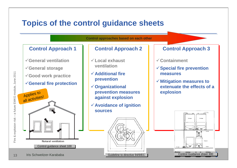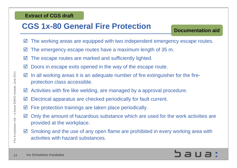### **Extract of CGS draft**

## **CGS 1x-80 General Fire Protection**

**Documentation aid**

- $\vert\blacktriangledown\vert$ The working areas are equipped with two independent emergency escape routes.
- $\vert \triangledown$ The emergency escape routes have a maximum length of 35 m.
- $\overline{\mathbf{v}}$ The escape routes are marked and sufficiently lighted.
- $\boxtimes$ Doors in escape exits opened in the way of the escape route.
- $\triangledown$  In all working areas it is an adequate number of fire extinguisher for the fireprotection class accessible.
- $\boxtimes$  Activities with fire like welding, are managed by a approval procedure.
- $\vert\blacktriangledown\vert$ Electrical apparatus are checked periodically for fault current.
- $\vert \triangledown$ Fire protection trainings are taken place periodically.
- $\overline{\mathbf{v}}$  Only the amount of hazardous substance which are used for the work activities are provided at the workplace.
- $\Delta$  Smoking and the use of any open flame are prohibited in every working area with activities with hazard substances.

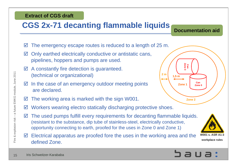### **Extract of CGS draft**

# **CGS 2x-71 decanting flammable liquids**

**Documentation aid**

- $\triangledown$ The emergency escape routes is reduced to a length of 25 m.
- $\overline{\mathbf{M}}$  Only earthed electrically conductive or antistatic cans, pipelines, hoppers and pumps are used.
- $\vert \triangledown$  A constantly fire detection is guaranteed. (technical or organizational)
- $\triangledown$ In the case of an emergency outdoor meeting points are declared.
- $\vert \triangledown$ The working area is marked with the sign W001.
- $\vert \triangledown$ Workers wearing electro statically discharging protective shoes.
- $\vert\blacktriangledown\vert$  The used pumps fulfill every requirements for decanting flammable liquids. (resistant to the substance, dip tube of stainless-steel, electrically conductive, opportunity connecting to earth, proofed for the uses in Zone 0 and Zone 1)
- $\blacksquare$  Electrical apparatus are proofed fore the uses in the working area and the defined Zone.



![](_page_14_Picture_12.jpeg)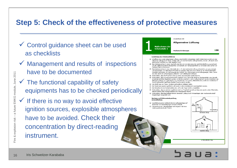### **Step 5: Check of the effectiveness of protective measures**

- $\checkmark$  Control guidance sheet can be used as checklists
- $\checkmark$  Management and results of inspections have to be documented
- $\checkmark$  The functional capability of safety equipments has to be checked periodically
- $\overline{\mathcal{O}}$  FOX  $\checkmark$  If there is no way to avoid effective ignition sources, explosible atmospheres have to be avoided. Check their concentration by direct-reading instrument.

![](_page_15_Figure_5.jpeg)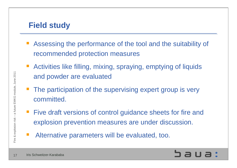# **Field study**

- Assessing the performance of the tool and the suitability of recommended protection measures
- Activities like filling, mixing, spraying, emptying of liquids and powder are evaluated
- The participation of the supervising expert group is very committed.
- **Five draft versions of control guidance sheets for fire and** explosion prevention measures are under discussion.
- Alternative parameters will be evaluated, too.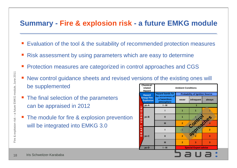### **Summary - Fire & explosion risk - a future EMKG module**

- F Evaluation of the tool & the suitability of recommended protection measures
- F Risk assessment by using parameters which are easy to determine
- T. Protection measures are categorized in control approaches and CGS
- F New control guidance sheets and revised versions of the existing ones will be supplemented **Chemicalrelated Ambient Conditions**
- F The final selection of the parameters can be appraised in 2012
- F The module for fire & explosion prevention will be integrated into EMKG 3.0

|                                       | <b>Chemical-</b><br>related<br><b>Hazard</b> | <b>Ambient Conditions</b>                      |                                       |                              |        |
|---------------------------------------|----------------------------------------------|------------------------------------------------|---------------------------------------|------------------------------|--------|
|                                       | <b>Hazard</b>                                | <b>Hazard bands for</b>                        | <b>Probability of Ignition Source</b> |                              |        |
| <b>Group Fire</b><br><b>Explosion</b> |                                              | the occurrence of<br>a hazardous<br>atmosphere | never                                 | infrequent                   | always |
|                                       | pc-A                                         | $I - III$                                      | 1                                     |                              |        |
| z<br>Ō                                | $pc-B$                                       |                                                | 1                                     |                              | 2      |
| ဖာ<br>œ<br>ш                          |                                              | $\mathbf{I}$                                   | 1                                     |                              |        |
| $\mathbf{1}$<br>⊢                     |                                              | Ш                                              | $\overline{2}$                        | Control es                   |        |
| щ<br>⋖<br>œ                           |                                              |                                                |                                       |                              |        |
| $\overline{\phantom{0}}$              | pc-C                                         | $\mathbf{I}$                                   | $\overline{2}$                        |                              | 3      |
|                                       |                                              | Ш                                              | $\overline{2}$                        | 3                            | 3      |
|                                       | pc-D                                         | $1 - III$                                      |                                       | <b>Special Expert advise</b> |        |
|                                       |                                              |                                                |                                       |                              |        |